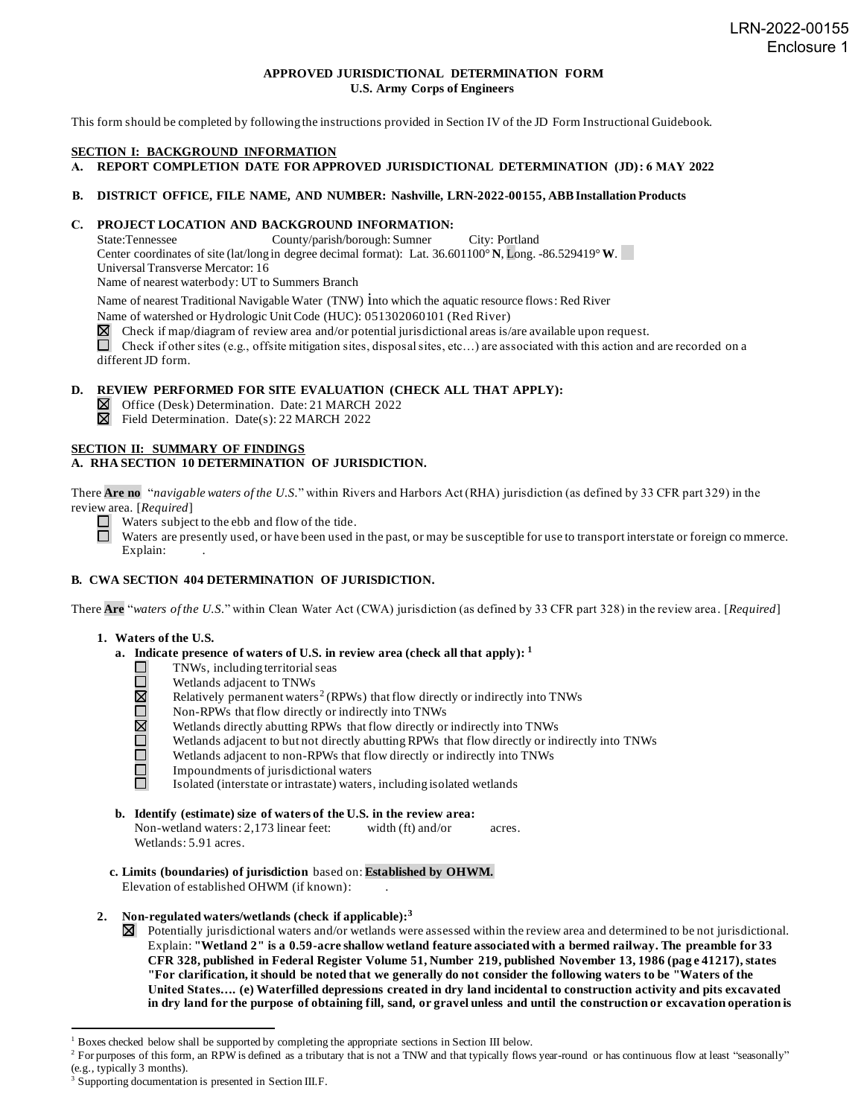#### **APPROVED JURISDICTIONAL DETERMINATION FORM U.S. Army Corps of Engineers**

This form should be completed by following the instructions provided in Section IV of the JD Form Instructional Guidebook.

#### **SECTION I: BACKGROUND INFORMATION**

**A. REPORT COMPLETION DATE FOR APPROVED JURISDICTIONAL DETERMINATION (JD): 6 MAY 2022**

#### **B. DISTRICT OFFICE, FILE NAME, AND NUMBER: Nashville, LRN-2022-00155, ABB Installation Products**

# **C. PROJECT LOCATION AND BACKGROUND INFORMATION:**<br>State:Tennessee County/parish/borough: Sumner

County/parish/borough: Sumner City: Portland Center coordinates of site (lat/long in degree decimal format): Lat. 36.601100° **N**, Long. -86.529419°**W**. Universal Transverse Mercator: 16

Name of nearest waterbody: UT to Summers Branch

Name of nearest Traditional Navigable Water (TNW) into which the aquatic resource flows: Red River

Name of watershed or Hydrologic Unit Code (HUC): 051302060101 (Red River)

 $\boxtimes$  Check if map/diagram of review area and/or potential jurisdictional areas is/are available upon request.

Check if other sites (e.g., offsite mitigation sites, disposal sites, etc...) are associated with this action and are recorded on a different JD form.

#### **D. REVIEW PERFORMED FOR SITE EVALUATION (CHECK ALL THAT APPLY):**

Office (Desk) Determination. Date: 21 MARCH 2022

 $\boxtimes$  Field Determination. Date(s): 22 MARCH 2022

#### **SECTION II: SUMMARY OF FINDINGS**

#### **A. RHA SECTION 10 DETERMINATION OF JURISDICTION.**

There **Are no** "*navigable waters of the U.S.*" within Rivers and Harbors Act (RHA) jurisdiction (as defined by 33 CFR part 329) in the review area. [*Required*]

 $\Box$  Waters subject to the ebb and flow of the tide.

 $\Box$ Waters are presently used, or have been used in the past, or may be susceptible for use to transport interstate or foreign co mmerce. Explain:

#### **B. CWA SECTION 404 DETERMINATION OF JURISDICTION.**

There **Are** "*waters of the U.S.*" within Clean Water Act (CWA) jurisdiction (as defined by 33 CFR part 328) in the review area . [*Required*]

#### **1. Waters of the U.S.**

- **a. Indicate presence of waters of U.S. in review area (check all that apply): 1**
	- TNWs, including territorial seas
	- Wetlands adjacent to TNWs
	- OMOMO Relatively permanent waters<sup>2</sup> (RPWs) that flow directly or indirectly into TNWs
	- Non-RPWs that flow directly or indirectly into TNWs
	- Wetlands directly abutting RPWs that flow directly or indirectly into TNWs
	- Wetlands adjacent to but not directly abutting RPWs that flow directly or indirectly into TNWs
	- ō Wetlands adjacent to non-RPWs that flow directly or indirectly into TNWs
	- $\Box$ Impoundments of jurisdictional waters ñ.

Isolated (interstate or intrastate) waters, including isolated wetlands

**b. Identify (estimate) size of waters of the U.S. in the review area:**

Non-wetland waters: 2,173 linear feet: width (ft) and/or acres. Wetlands: 5.91 acres.

**c. Limits (boundaries) of jurisdiction** based on: **Established by OHWM.** Elevation of established OHWM (if known): .

#### **2. Non-regulated waters/wetlands (check if applicable): 3**

 $\boxtimes$  Potentially jurisdictional waters and/or wetlands were assessed within the review area and determined to be not jurisdictional. Explain: **"Wetland 2" is a 0.59-acre shallow wetland feature associated with a bermed railway. The preamble for 33 CFR 328, published in Federal Register Volume 51, Number 219, published November 13, 1986 (pag e 41217), states "For clarification, it should be noted that we generally do not consider the following waters to be "Waters of the United States…. (e) Waterfilled depressions created in dry land incidental to construction activity and pits excavated in dry land for the purpose of obtaining fill, sand, or gravel unless and until the construction or excavation operation is** 

<sup>1</sup> Boxes checked below shall be supported by completing the appropriate sections in Section III below.

<sup>&</sup>lt;sup>2</sup> For purposes of this form, an RPW is defined as a tributary that is not a TNW and that typically flows year-round or has continuous flow at least "seasonally" (e.g., typically 3 months).

<sup>&</sup>lt;sup>3</sup> Supporting documentation is presented in Section III.F.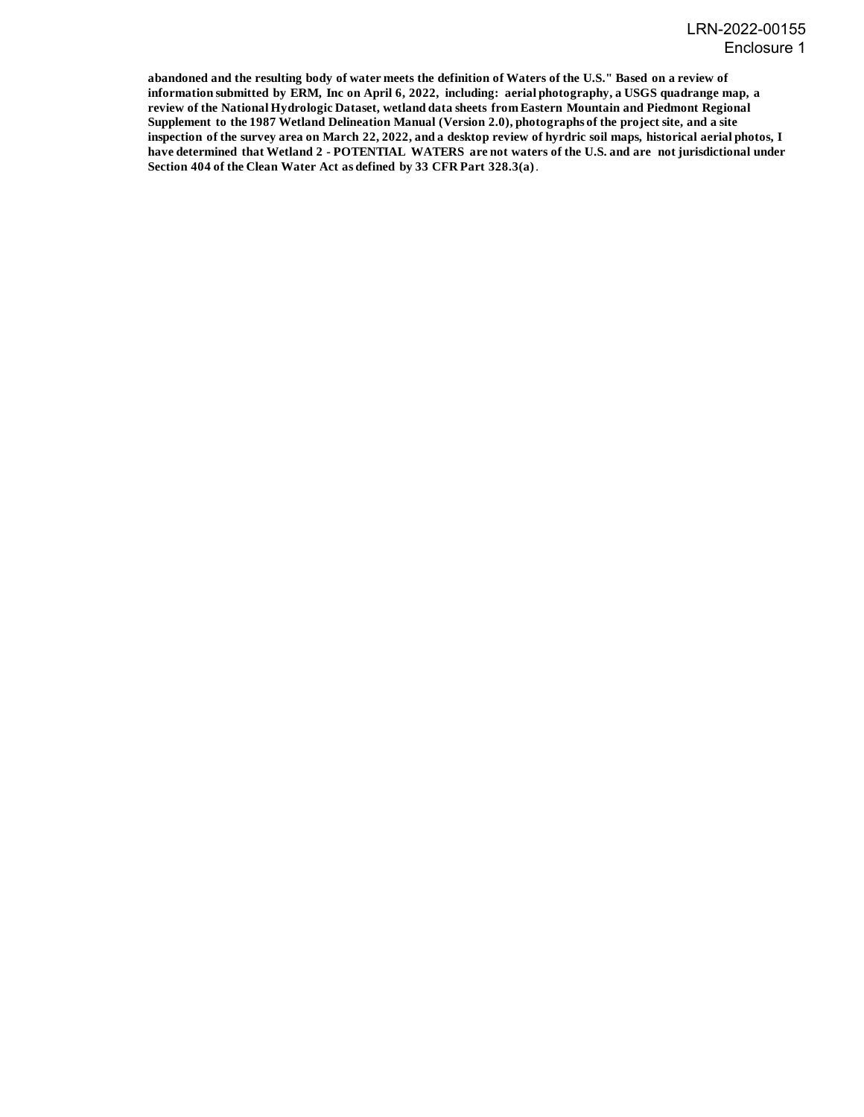**abandoned and the resulting body of water meets the definition of Waters of the U.S." Based on a review of information submitted by ERM, Inc on April 6, 2022, including: aerial photography, a USGS quadrange map, a review of the National Hydrologic Dataset, wetland data sheets from Eastern Mountain and Piedmont Regional Supplement to the 1987 Wetland Delineation Manual (Version 2.0), photographs of the project site, and a site inspection of the survey area on March 22, 2022, and a desktop review of hyrdric soil maps, historical aerial photos, I have determined that Wetland 2 - POTENTIAL WATERS are not waters of the U.S. and are not jurisdictional under Section 404 of the Clean Water Act as defined by 33 CFR Part 328.3(a)**.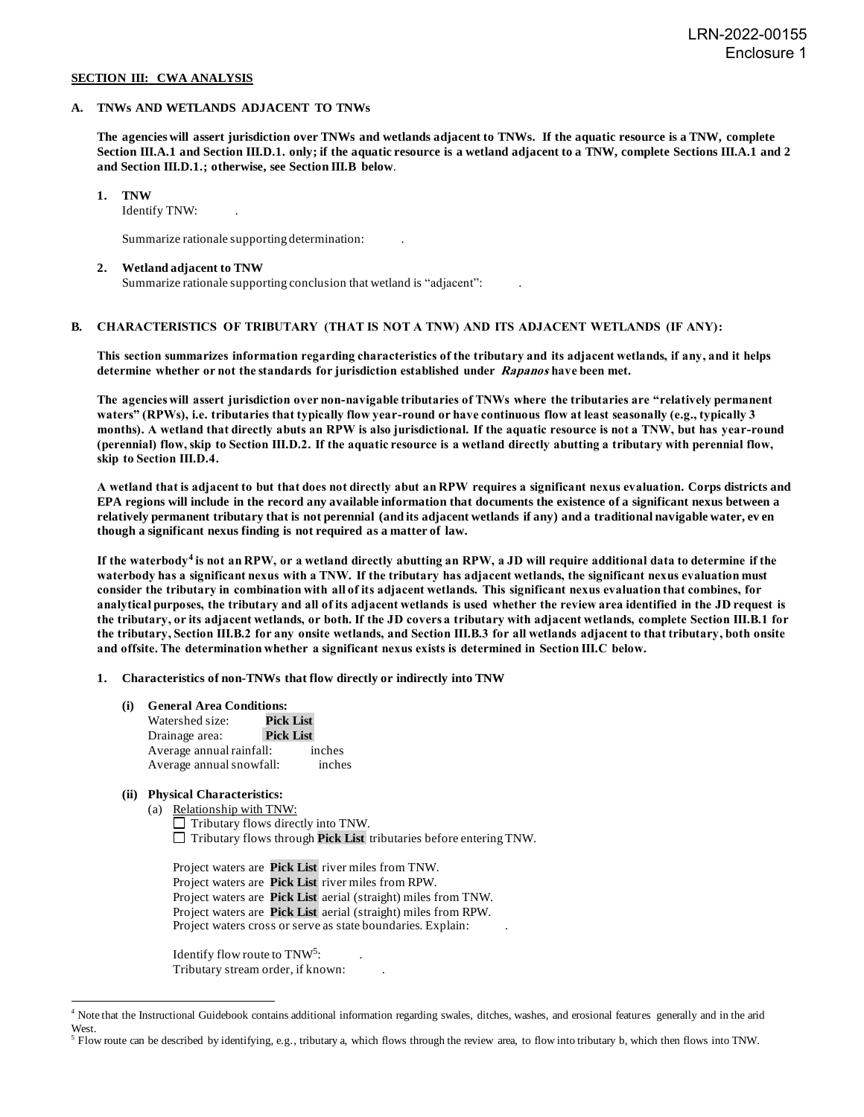#### **SECTION III: CWA ANALYSIS**

#### **A. TNWs AND WETLANDS ADJACENT TO TNWs**

**The agencies will assert jurisdiction over TNWs and wetlands adjacent to TNWs. If the aquatic resource is a TNW, complete Section III.A.1 and Section III.D.1. only; if the aquatic resource is a wetland adjacent to a TNW, complete Sections III.A.1 and 2 and Section III.D.1.; otherwise, see Section III.B below**.

**1. TNW**

Identify TNW: .

Summarize rationale supporting determination: .

#### **2. Wetland adjacent to TNW**

Summarize rationale supporting conclusion that wetland is "adjacent": .

#### **B. CHARACTERISTICS OF TRIBUTARY (THAT IS NOT A TNW) AND ITS ADJACENT WETLANDS (IF ANY):**

**This section summarizes information regarding characteristics of the tributary and its adjacent wetlands, if any, and it helps determine whether or not the standards for jurisdiction established under Rapanos have been met.**

**The agencies will assert jurisdiction over non-navigable tributaries of TNWs where the tributaries are "relatively permanent waters" (RPWs), i.e. tributaries that typically flow year-round or have continuous flow at least seasonally (e.g., typically 3 months). A wetland that directly abuts an RPW is also jurisdictional. If the aquatic resource is not a TNW, but has year-round (perennial) flow, skip to Section III.D.2. If the aquatic resource is a wetland directly abutting a tributary with perennial flow, skip to Section III.D.4.**

**A wetland that is adjacent to but that does not directly abut an RPW requires a significant nexus evaluation. Corps districts and EPA regions will include in the record any available information that documents the existence of a significant nexus between a relatively permanent tributary that is not perennial (and its adjacent wetlands if any) and a traditional navigable water, ev en though a significant nexus finding is not required as a matter of law.**

**If the waterbody<sup>4</sup> is not an RPW, or a wetland directly abutting an RPW, a JD will require additional data to determine if the waterbody has a significant nexus with a TNW. If the tributary has adjacent wetlands, the significant nexus evaluation must consider the tributary in combination with all of its adjacent wetlands. This significant nexus evaluation that combines, for analytical purposes, the tributary and all of its adjacent wetlands is used whether the review area identified in the JD request is the tributary, or its adjacent wetlands, or both. If the JD covers a tributary with adjacent wetlands, complete Section III.B.1 for the tributary, Section III.B.2 for any onsite wetlands, and Section III.B.3 for all wetlands adjacent to that tributary, both onsite and offsite. The determination whether a significant nexus exists is determined in Section III.C below.**

**1. Characteristics of non-TNWs that flow directly or indirectly into TNW**

**(i) General Area Conditions:**

| Watershed size:          | <b>Pick List</b> |        |  |
|--------------------------|------------------|--------|--|
| Drainage area:           | <b>Pick List</b> |        |  |
| Average annual rainfall: |                  | inches |  |
| Average annual snowfall: |                  | inches |  |

#### **(ii) Physical Characteristics:**

(a) Relationship with TNW:

 $\Box$  Tributary flows directly into TNW. Tributary flows through **Pick List** tributaries before entering TNW.

Project waters are **Pick List** river miles from TNW. Project waters are **Pick List** river miles from RPW. Project waters are **Pick List** aerial (straight) miles from TNW. Project waters are **Pick List** aerial (straight) miles from RPW. Project waters cross or serve as state boundaries. Explain:

Identify flow route to TNW<sup>5</sup>:  $:$  . Tributary stream order, if known: .

<sup>4</sup> Note that the Instructional Guidebook contains additional information regarding swales, ditches, washes, and erosional features generally and in the arid West.

 $<sup>5</sup>$  Flow route can be described by identifying, e.g., tributary a, which flows through the review area, to flow into tributary b, which then flows into TNW.</sup>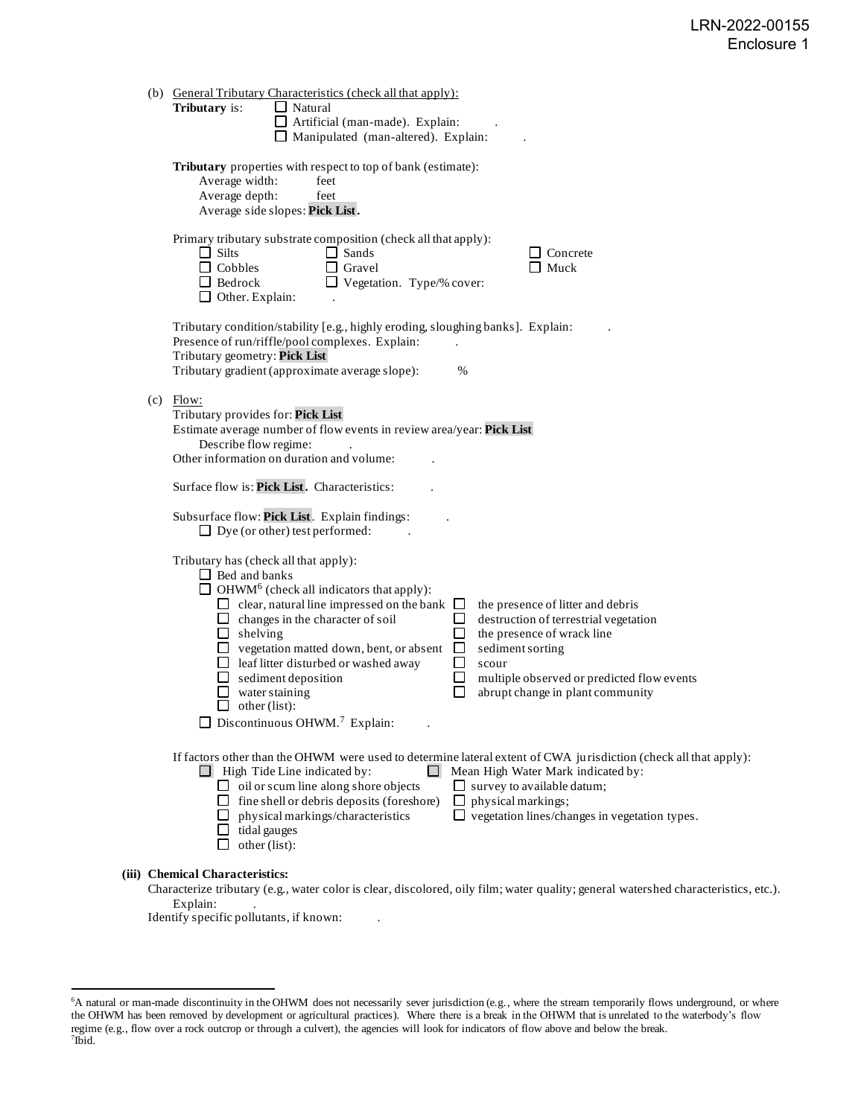|  | (b) General Tributary Characteristics (check all that apply):<br><b>Tributary</b> is:<br>$\Box$ Natural<br>$\Box$ Artificial (man-made). Explain:<br>$\Box$ Manipulated (man-altered). Explain:                                                                                                                                                                                                                                                                                                                                                                                                                                                                                                                                                                 |  |  |
|--|-----------------------------------------------------------------------------------------------------------------------------------------------------------------------------------------------------------------------------------------------------------------------------------------------------------------------------------------------------------------------------------------------------------------------------------------------------------------------------------------------------------------------------------------------------------------------------------------------------------------------------------------------------------------------------------------------------------------------------------------------------------------|--|--|
|  | Tributary properties with respect to top of bank (estimate):<br>Average width:<br>feet<br>Average depth:<br>feet<br>Average side slopes: Pick List.                                                                                                                                                                                                                                                                                                                                                                                                                                                                                                                                                                                                             |  |  |
|  | Primary tributary substrate composition (check all that apply):<br>$\Box$ Sands<br>$\Box$ Silts<br>$\Box$ Concrete<br>$\Box$ Cobbles<br>$\Box$ Gravel<br>$\Box$ Muck<br>$\Box$ Vegetation. Type/% cover:<br>$\Box$ Bedrock<br>$\Box$ Other. Explain:                                                                                                                                                                                                                                                                                                                                                                                                                                                                                                            |  |  |
|  | Tributary condition/stability [e.g., highly eroding, sloughing banks]. Explain:<br>Presence of run/riffle/pool complexes. Explain:<br>Tributary geometry: Pick List<br>Tributary gradient (approximate average slope):<br>$\%$                                                                                                                                                                                                                                                                                                                                                                                                                                                                                                                                  |  |  |
|  | $(c)$ Flow:<br>Tributary provides for: Pick List<br>Estimate average number of flow events in review area/year: Pick List<br>Describe flow regime:<br>Other information on duration and volume:<br>Surface flow is: Pick List. Characteristics:                                                                                                                                                                                                                                                                                                                                                                                                                                                                                                                 |  |  |
|  |                                                                                                                                                                                                                                                                                                                                                                                                                                                                                                                                                                                                                                                                                                                                                                 |  |  |
|  | Subsurface flow: Pick List. Explain findings:<br>$\Box$ Dye (or other) test performed:                                                                                                                                                                                                                                                                                                                                                                                                                                                                                                                                                                                                                                                                          |  |  |
|  | Tributary has (check all that apply):<br>$\Box$ Bed and banks<br>$\Box$ OHWM <sup>6</sup> (check all indicators that apply):<br>$\Box$ clear, natural line impressed on the bank $\Box$<br>the presence of litter and debris<br>$\Box$ changes in the character of soil<br>$\Box$<br>destruction of terrestrial vegetation<br>□<br>$\Box$ shelving<br>the presence of wrack line<br>□<br>$\Box$ vegetation matted down, bent, or absent<br>sediment sorting<br>$\Box$ leaf litter disturbed or washed away<br>□<br>scour<br>$\Box$<br>$\Box$ sediment deposition<br>multiple observed or predicted flow events<br>$\Box$<br>abrupt change in plant community<br>$\Box$ water staining<br>other (list):<br>ப<br>$\Box$ Discontinuous OHWM. <sup>7</sup> Explain: |  |  |
|  | If factors other than the OHWM were used to determine lateral extent of CWA jurisdiction (check all that apply):<br>$\Box$ High Tide Line indicated by:<br>$\Box$ Mean High Water Mark indicated by:<br>$\Box$ oil or scum line along shore objects<br>$\Box$ survey to available datum;<br>$\Box$ fine shell or debris deposits (foreshore)<br>physical markings;<br>$\Box$ vegetation lines/changes in vegetation types.<br>physical markings/characteristics<br>tidal gauges<br>other (list):                                                                                                                                                                                                                                                                |  |  |
|  | <b>Chemical Characteristics:</b>                                                                                                                                                                                                                                                                                                                                                                                                                                                                                                                                                                                                                                                                                                                                |  |  |

#### Characterize tributary (e.g., water color is clear, discolored, oily film; water quality; general watershed characteristics, etc.). Explain:

Identify specific pollutants, if known:

**(iii) Chemical Characteristics:**

<sup>&</sup>lt;sup>6</sup>A natural or man-made discontinuity in the OHWM does not necessarily sever jurisdiction (e.g., where the stream temporarily flows underground, or where the OHWM has been removed by development or agricultural practices). Where there is a break in the OHWM that is unrelated to the waterbody's flow regime (e.g., flow over a rock outcrop or through a culvert), the agencies will look for indicators of flow above and below the break. 7 Ibid.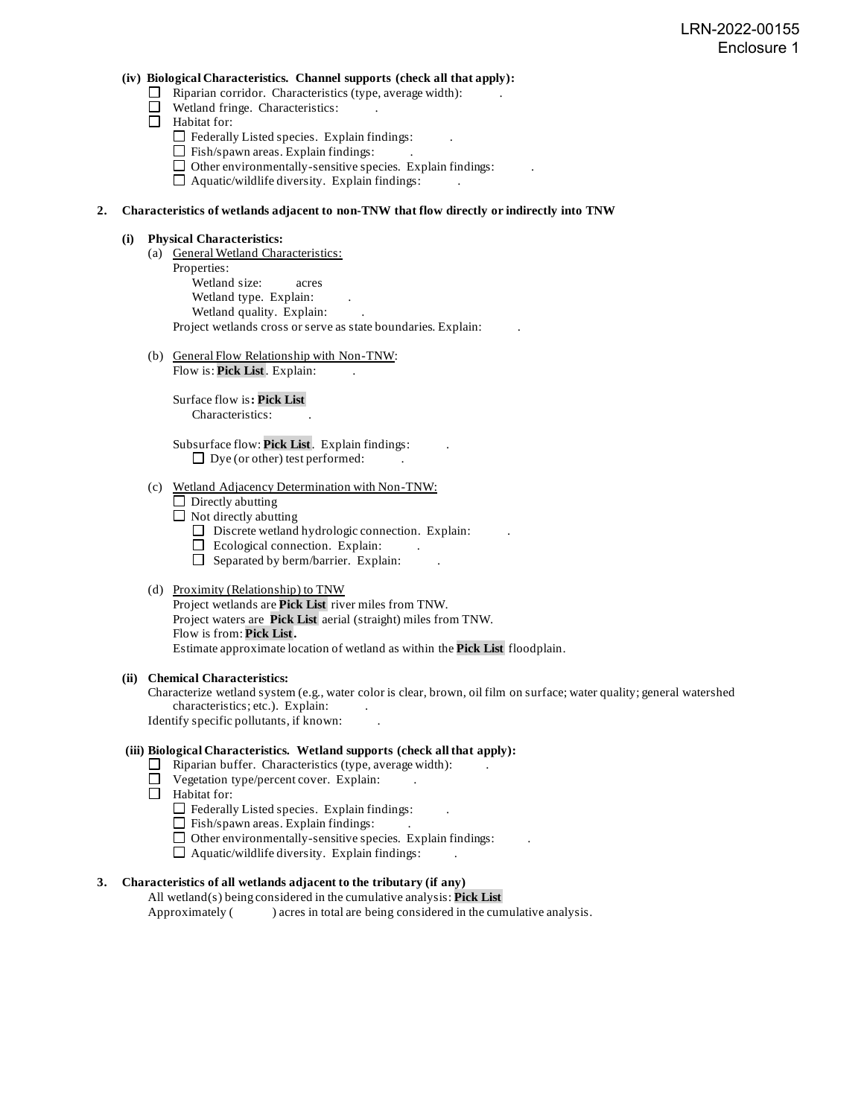#### **(iv) Biological Characteristics. Channel supports (check all that apply):**

- $\Box$  Riparian corridor. Characteristics (type, average width):
- Wetland fringe. Characteristics:
- Habitat for:
	- $\Box$  Federally Listed species. Explain findings:
	- $\Box$  Fish/spawn areas. Explain findings:
	- $\Box$  Other environmentally-sensitive species. Explain findings:
	- $\Box$  Aquatic/wildlife diversity. Explain findings:

#### **2. Characteristics of wetlands adjacent to non-TNW that flow directly or indirectly into TNW**

#### **(i) Physical Characteristics:**

- (a) General Wetland Characteristics: Properties: Wetland size: acres Wetland type. Explain: Wetland quality. Explain: Project wetlands cross or serve as state boundaries. Explain: .
- (b) General Flow Relationship with Non-TNW:

Flow is: **Pick List**. Explain:

Surface flow is**: Pick List**  Characteristics: .

Subsurface flow: **Pick List**. Explain findings: .  $\Box$  Dye (or other) test performed:

#### (c) Wetland Adjacency Determination with Non-TNW:

- $\Box$  Directly abutting
- $\Box$  Not directly abutting
	- $\Box$  Discrete wetland hydrologic connection. Explain:
	- $\Box$  Ecological connection. Explain:
	- $\Box$  Separated by berm/barrier. Explain:

#### (d) Proximity (Relationship) to TNW

Project wetlands are **Pick List** river miles from TNW. Project waters are **Pick List** aerial (straight) miles from TNW. Flow is from: **Pick List.** Estimate approximate location of wetland as within the **Pick List** floodplain.

#### **(ii) Chemical Characteristics:**

Characterize wetland system (e.g., water color is clear, brown, oil film on surface; water quality; general watershed characteristics; etc.). Explain: Identify specific pollutants, if known: .

#### **(iii) Biological Characteristics. Wetland supports (check all that apply):**

- $\Box$  Riparian buffer. Characteristics (type, average width):
- $\Box$  Vegetation type/percent cover. Explain:
- Habitat for:
	- $\Box$  Federally Listed species. Explain findings:
	- $\Box$  Fish/spawn areas. Explain findings:
	- $\Box$  Other environmentally-sensitive species. Explain findings:
	- $\Box$  Aquatic/wildlife diversity. Explain findings:

#### **3. Characteristics of all wetlands adjacent to the tributary (if any)**

All wetland(s) being considered in the cumulative analysis: **Pick List** Approximately () acres in total are being considered in the cumulative analysis.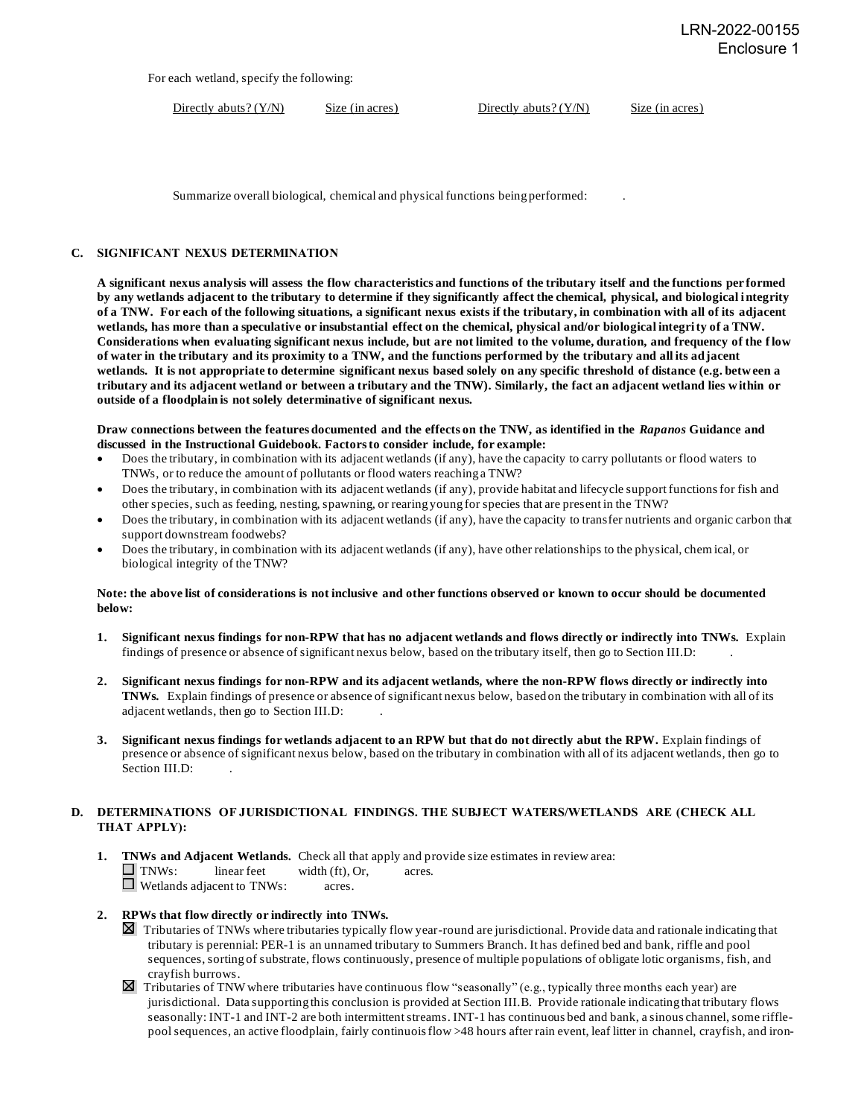For each wetland, specify the following:

Directly abuts? (Y/N) Size (in acres) Directly abuts? (Y/N) Size (in acres)

Summarize overall biological, chemical and physical functions being performed: .

#### **C. SIGNIFICANT NEXUS DETERMINATION**

**A significant nexus analysis will assess the flow characteristics and functions of the tributary itself and the functions per formed by any wetlands adjacent to the tributary to determine if they significantly affect the chemical, physical, and biological integrity of a TNW. For each of the following situations, a significant nexus exists if the tributary, in combination with all of its adjacent wetlands, has more than a speculative or insubstantial effect on the chemical, physical and/or biological integrity of a TNW. Considerations when evaluating significant nexus include, but are not limited to the volume, duration, and frequency of the f low of water in the tributary and its proximity to a TNW, and the functions performed by the tributary and all its adjacent wetlands. It is not appropriate to determine significant nexus based solely on any specific threshold of distance (e.g. between a tributary and its adjacent wetland or between a tributary and the TNW). Similarly, the fact an adjacent wetland lies within or outside of a floodplain is not solely determinative of significant nexus.**

**Draw connections between the features documented and the effects on the TNW, as identified in the** *Rapanos* **Guidance and discussed in the Instructional Guidebook. Factors to consider include, for example:**

- Does the tributary, in combination with its adjacent wetlands (if any), have the capacity to carry pollutants or flood waters to TNWs, or to reduce the amount of pollutants or flood waters reaching a TNW?
- Does the tributary, in combination with its adjacent wetlands (if any), provide habitat and lifecycle support functions for fish and other species, such as feeding, nesting, spawning, or rearing young for species that are present in the TNW?
- Does the tributary, in combination with its adjacent wetlands (if any), have the capacity to transfer nutrients and organic carbon that support downstream foodwebs?
- Does the tributary, in combination with its adjacent wetlands (if any), have other relationships to the physical, chem ical, or biological integrity of the TNW?

#### **Note: the above list of considerations is not inclusive and other functions observed or known to occur should be documented below:**

- **1. Significant nexus findings for non-RPW that has no adjacent wetlands and flows directly or indirectly into TNWs.** Explain findings of presence or absence of significant nexus below, based on the tributary itself, then go to Section III.D: .
- **2. Significant nexus findings for non-RPW and its adjacent wetlands, where the non-RPW flows directly or indirectly into TNWs.** Explain findings of presence or absence of significant nexus below, based on the tributary in combination with all of its adjacent wetlands, then go to Section III.D: .
- **3. Significant nexus findings for wetlands adjacent to an RPW but that do not directly abut the RPW.** Explain findings of presence or absence of significant nexus below, based on the tributary in combination with all of its adjacent wetlands, then go to Section III.D:

#### **D. DETERMINATIONS OF JURISDICTIONAL FINDINGS. THE SUBJECT WATERS/WETLANDS ARE (CHECK ALL THAT APPLY):**

**1. TNWs and Adjacent Wetlands.** Check all that apply and provide size estimates in review area:  $\Box$  TNWs: linear feet width (ft), Or, acres. Wetlands adjacent to TNWs: acres.

#### **2. RPWs that flow directly or indirectly into TNWs.**

- Tributaries of TNWs where tributaries typically flow year-round are jurisdictional. Provide data and rationale indicating that tributary is perennial: PER-1 is an unnamed tributary to Summers Branch. It has defined bed and bank, riffle and pool sequences, sorting of substrate, flows continuously, presence of multiple populations of obligate lotic organisms, fish, and crayfish burrows.
- $\boxtimes$  Tributaries of TNW where tributaries have continuous flow "seasonally" (e.g., typically three months each year) are jurisdictional. Data supporting this conclusion is provided at Section III.B. Provide rationale indicating that tributary flows seasonally: INT-1 and INT-2 are both intermittent streams. INT-1 has continuous bed and bank, a sinous channel, some rifflepool sequences, an active floodplain, fairly continuois flow >48 hours after rain event, leaf litter in channel, crayfish, and iron-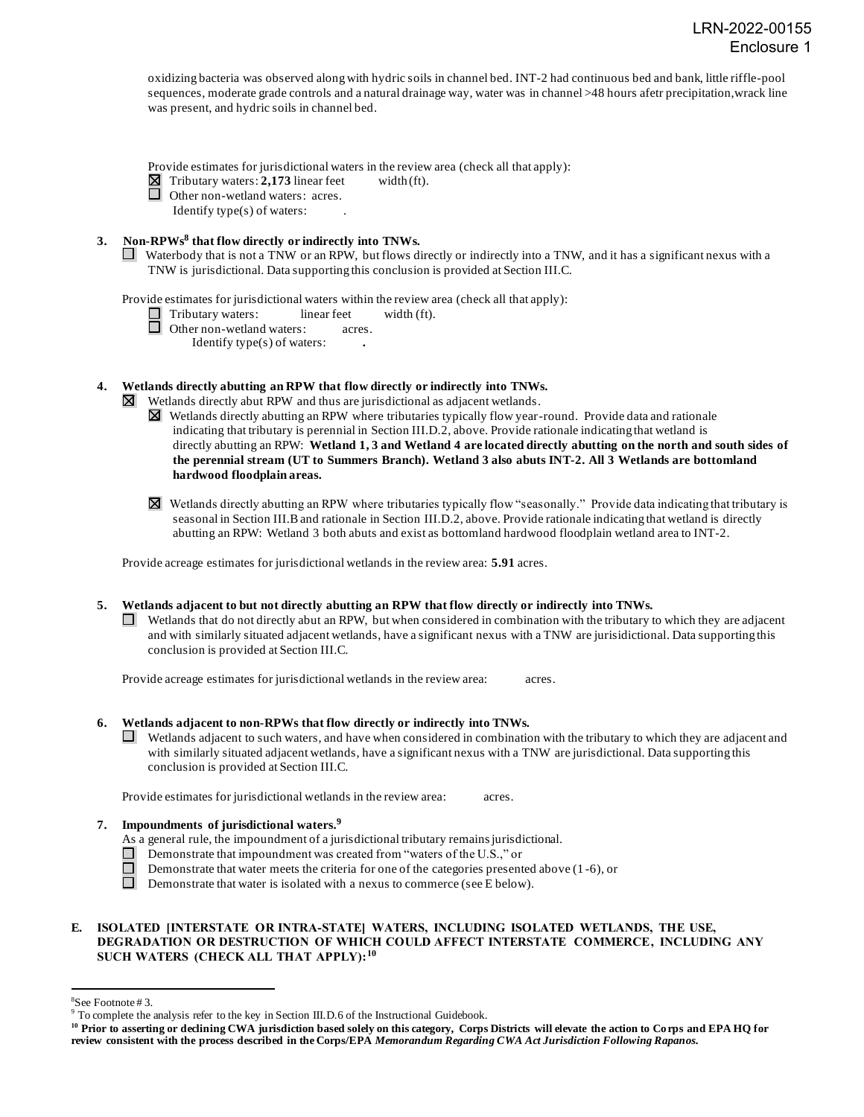oxidizing bacteria was observed along with hydric soils in channel bed. INT-2 had continuous bed and bank, little riffle-pool sequences, moderate grade controls and a natural drainage way, water was in channel >48 hours afetr precipitation, wrack line was present, and hydric soils in channel bed.

Provide estimates for jurisdictional waters in the review area (check all that apply):

 $\Box$  Tributary waters: **2,173** linear feet width (ft).<br>  $\Box$  Other non-wetland waters: acres.

Other non-wetland waters: acres.

Identify type(s) of waters: .

- **3. Non-RPWs<sup>8</sup> that flow directly or indirectly into TNWs.**
	- Waterbody that is not a TNW or an RPW, but flows directly or indirectly into a TNW, and it has a significant nexus with a TNW is jurisdictional. Data supporting this conclusion is provided at Section III.C.

Provide estimates for jurisdictional waters within the review area (check all that apply):

Tributary waters: linear feet width (ft).

 $\Box$  Other non-wetland waters: acres.

Identify type(s) of waters: **.**

**4. Wetlands directly abutting an RPW that flow directly or indirectly into TNWs.**

 $\boxtimes$  Wetlands directly abut RPW and thus are jurisdictional as adjacent wetlands.

- $\boxtimes$  Wetlands directly abutting an RPW where tributaries typically flow year-round. Provide data and rationale indicating that tributary is perennial in Section III.D.2, above. Provide rationale indicating that wetland is directly abutting an RPW: **Wetland 1, 3 and Wetland 4 are located directly abutting on the north and south sides of the perennial stream (UT to Summers Branch). Wetland 3 also abuts INT-2. All 3 Wetlands are bottomland hardwood floodplain areas.**
- $\boxtimes$  Wetlands directly abutting an RPW where tributaries typically flow "seasonally." Provide data indicating that tributary is seasonal in Section III.B and rationale in Section III.D.2, above. Provide rationale indicating that wetland is directly abutting an RPW: Wetland 3 both abuts and exist as bottomland hardwood floodplain wetland area to INT-2.

Provide acreage estimates for jurisdictional wetlands in the review area: **5.91** acres.

**5. Wetlands adjacent to but not directly abutting an RPW that flow directly or indirectly into TNWs.**

 $\Box$  Wetlands that do not directly abut an RPW, but when considered in combination with the tributary to which they are adjacent and with similarly situated adjacent wetlands, have a significant nexus with a TNW are jurisidictional. Data supporting this conclusion is provided at Section III.C.

Provide acreage estimates for jurisdictional wetlands in the review area: acres.

#### **6. Wetlands adjacent to non-RPWs that flow directly or indirectly into TNWs.**

 $\Box$  Wetlands adjacent to such waters, and have when considered in combination with the tributary to which they are adjacent and with similarly situated adjacent wetlands, have a significant nexus with a TNW are jurisdictional. Data supporting this conclusion is provided at Section III.C.

Provide estimates for jurisdictional wetlands in the review area: acres.

#### **7. Impoundments of jurisdictional waters. 9**

- As a general rule, the impoundment of a jurisdictional tributary remains jurisdictional.
- Demonstrate that impoundment was created from "waters of the U.S.," or
- Demonstrate that water meets the criteria for one of the categories presented above (1 -6), or
- $\Box$ Demonstrate that water is isolated with a nexus to commerce (see E below).

#### **E. ISOLATED [INTERSTATE OR INTRA-STATE] WATERS, INCLUDING ISOLATED WETLANDS, THE USE, DEGRADATION OR DESTRUCTION OF WHICH COULD AFFECT INTERSTATE COMMERCE, INCLUDING ANY SUCH WATERS (CHECK ALL THAT APPLY):<sup>10</sup>**

<sup>8</sup>See Footnote # 3.

<sup>&</sup>lt;sup>9</sup> To complete the analysis refer to the key in Section III.D.6 of the Instructional Guidebook.

**<sup>10</sup> Prior to asserting or declining CWA jurisdiction based solely on this category, Corps Districts will elevate the action to Corps and EPA HQ for review consistent with the process described in the Corps/EPA** *Memorandum Regarding CWA Act Jurisdiction Following Rapanos.*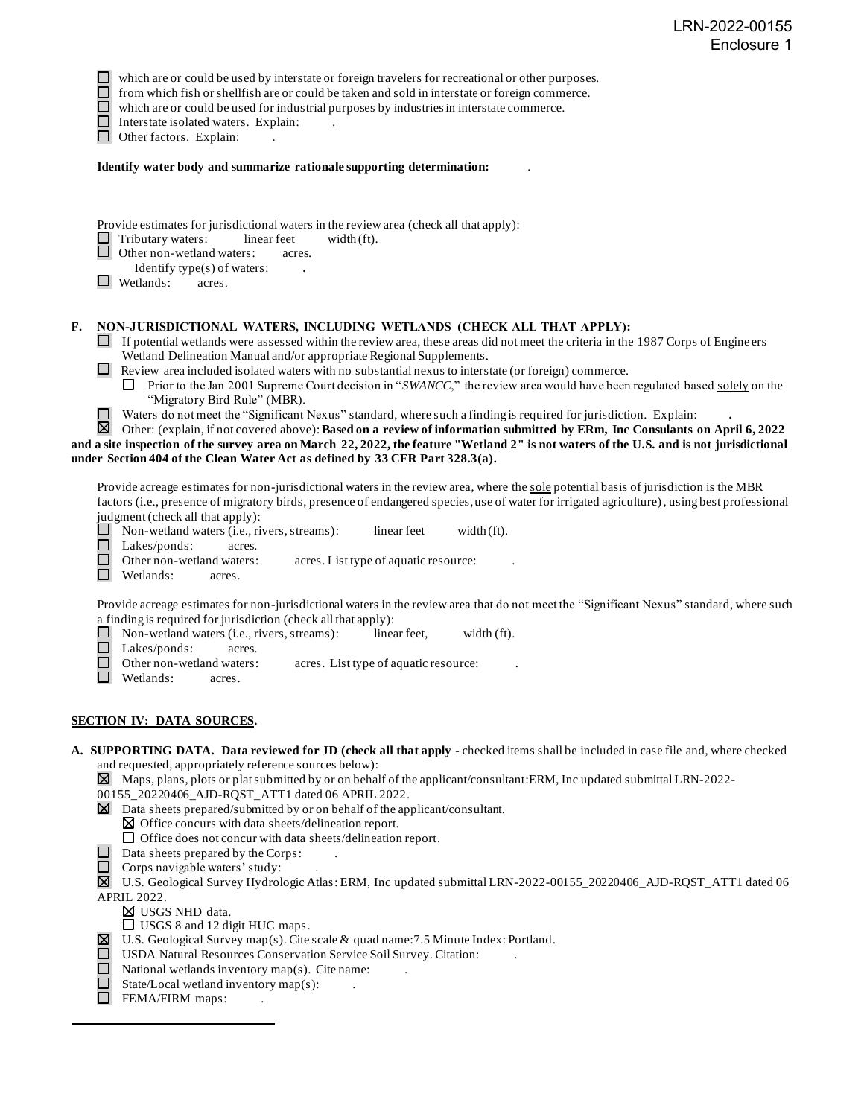$\Box$  which are or could be used by interstate or foreign travelers for recreational or other purposes.<br> $\Box$  from which fish or shellfish are or could be taken and sold in interstate or foreign commerce.

from which fish or shellfish are or could be taken and sold in interstate or foreign commerce.

 $\Box$  which are or could be used for industrial purposes by industries in interstate commerce.

Interstate isolated waters.Explain: .

Other factors. Explain:

**Identify water body and summarize rationale supporting determination:** .

Provide estimates for jurisdictional waters in the review area (check all that apply):<br>
Tributary waters: linear feet width (ft).

 $\Box$  Tributary waters: linear feet width (ft).<br> $\Box$  Other non-wetland waters: acres.

Other non-wetland waters: acres.

Identify type(s) of waters: **.**

■ Wetlands: acres.

#### **F. NON-JURISDICTIONAL WATERS, INCLUDING WETLANDS (CHECK ALL THAT APPLY):**

 $\Box$  If potential wetlands were assessed within the review area, these areas did not meet the criteria in the 1987 Corps of Engine ers Wetland Delineation Manual and/or appropriate Regional Supplements.

Review area included isolated waters with no substantial nexus to interstate (or foreign) commerce.

**Prior to the Jan 2001 Supreme Court decision in "***SWANCC***," the review area would have been regulated based <u>solely</u> on the** "Migratory Bird Rule" (MBR).

Waters do not meet the "Significant Nexus" standard, where such a finding is required for jurisdiction. Explain: **.**

冈 Other: (explain, if not covered above): **Based on a review of information submitted by ERm, Inc Consulants on April 6, 2022 and a site inspection of the survey area on March 22, 2022, the feature "Wetland 2" is not waters of the U.S. and is not jurisdictional under Section 404 of the Clean Water Act as defined by 33 CFR Part 328.3(a).**

Provide acreage estimates for non-jurisdictional waters in the review area, where the sole potential basis of jurisdiction is the MBR factors (i.e., presence of migratory birds, presence of endangered species, use of water for irrigated agriculture), using best professional

judgment (check all that apply):<br> $\Box$  Non-wetland waters (i.e., ri Non-wetland waters (i.e., rivers, streams): linear feet width (ft).

 $\Box$ Lakes/ponds: acres.

 $\Box$ Other non-wetland waters: acres. List type of aquatic resource:

Wetlands: acres.

Provide acreage estimates for non-jurisdictional waters in the review area that do not meet the "Significant Nexus" standard, where such a finding is required for jurisdiction (check all that apply):

 $\Box$ Non-wetland waters (i.e., rivers, streams): linear feet, width (ft).

 $\Box$ Lakes/ponds: acres.

 $\Box$ Other non-wetland waters: acres. List type of aquatic resource:

Wetlands: acres.

#### **SECTION IV: DATA SOURCES.**

**A. SUPPORTING DATA. Data reviewed for JD (check all that apply -** checked items shall be included in case file and, where checked and requested, appropriately reference sources below):

 $\boxtimes$  Maps, plans, plots or plat submitted by or on behalf of the applicant/consultant:ERM, Inc updated submittal LRN-2022-

00155\_20220406\_AJD-RQST\_ATT1 dated 06 APRIL 2022.

 $\boxtimes$  Data sheets prepared/submitted by or on behalf of the applicant/consultant.

 $\boxtimes$  Office concurs with data sheets/delineation report.

 $\Box$  Office does not concur with data sheets/delineation report.

 $\Box$  Data sheets prepared by the Corps:

 $\Box$  Corps navigable waters' study:

U.S. Geological Survey Hydrologic Atlas: ERM, Inc updated submittal LRN-2022-00155\_20220406\_AJD-RQST\_ATT1 dated 06 APRIL 2022.

USGS NHD data.

□ USGS 8 and 12 digit HUC maps.

- $\boxtimes$  U.S. Geological Survey map(s). Cite scale & quad name: 7.5 Minute Index: Portland.
- $\Box$ USDA Natural Resources Conservation Service Soil Survey. Citation: .
- $\Box$ National wetlands inventory map(s). Cite name: .
- $\Box$ State/Local wetland inventory map(s):
- $\Box$  FEMA/FIRM maps: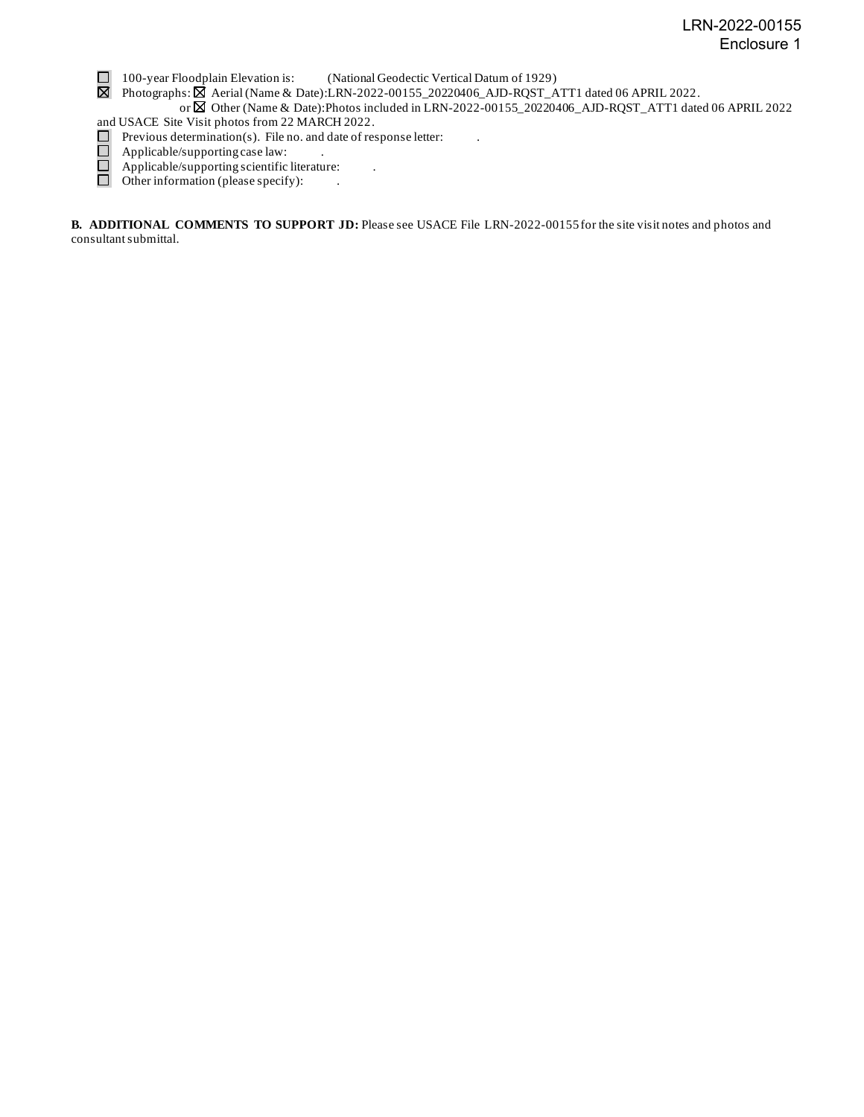100-year Floodplain Elevation is: (National Geodectic Vertical Datum of 1929)

Photographs:  $\boxtimes$  Aerial (Name & Date):LRN-2022-00155\_20220406\_AJD-RQST\_ATT1 dated 06 APRIL 2022.

 or Other (Name & Date):Photos included in LRN-2022-00155\_20220406\_AJD-RQST\_ATT1 dated 06 APRIL 2022 and USACE Site Visit photos from 22 MARCH 2022.

- Previous determination(s). File no. and date of response letter:
- Applicable/supporting case law:
- Applicable/supporting scientific literature: .
- Other information (please specify): ...

**B. ADDITIONAL COMMENTS TO SUPPORT JD:** Please see USACE File LRN-2022-00155 for the site visit notes and photos and consultant submittal.